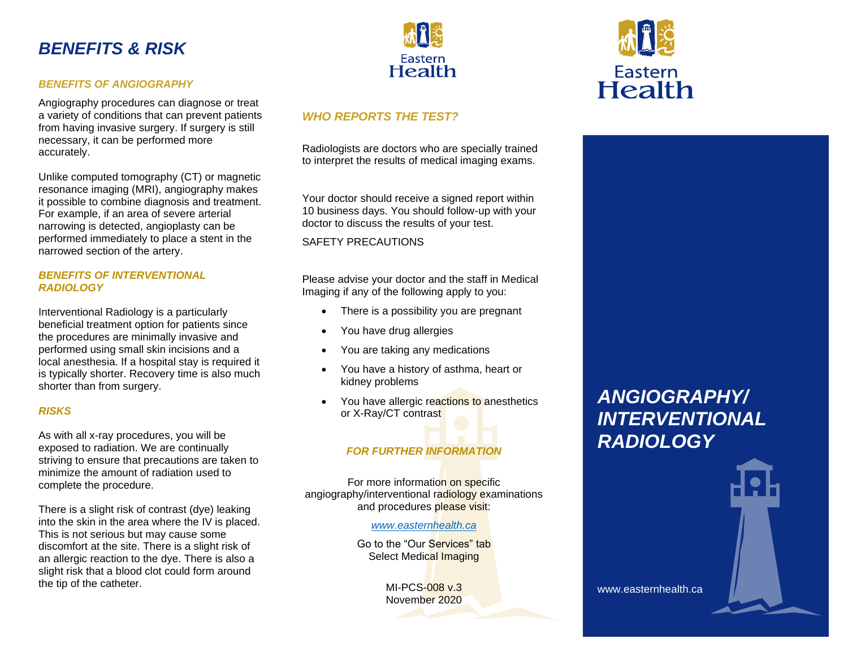## *BENEFITS & RISK*

#### *BENEFITS OF ANGIOGRAPHY*

Angiography procedures can diagnose or treat a variety of conditions that can prevent patients from having invasive surgery. If surgery is still necessary, it can be performed more accurately.

Unlike computed tomography (CT) or magnetic resonance imaging (MRI), angiography makes it possible to combine diagnosis and treatment. For example, if an area of severe arterial narrowing is detected, angioplasty can be performed immediately to place a stent in the narrowed section of the artery.

#### *BENEFITS OF INTERVENTIONAL RADIOLOGY*

Interventional Radiology is a particularly beneficial treatment option for patients since the procedures are minimally invasive and performed using small skin incisions and a local anesthesia. If a hospital stay is required it is typically shorter. Recovery time is also much shorter than from surgery.

### *RISKS*

As with all x-ray procedures, you will be exposed to radiation. We are continually striving to ensure that precautions are taken to minimize the amount of radiation used to complete the procedure.

There is a slight risk of contrast (dye) leaking into the skin in the area where the IV is placed. This is not serious but may cause some discomfort at the site. There is a slight risk of an allergic reaction to the dye. There is also a slight risk that a blood clot could form around the tip of the catheter.



### *WHO REPORTS THE TEST?*

Radiologists are doctors who are specially trained to interpret the results of medical imaging exams.

Your doctor should receive a signed report within 10 business days. You should follow-up with your doctor to discuss the results of your test.

SAFETY PRECAUTIONS

Please advise your doctor and the staff in Medical Imaging if any of the following apply to you:

- There is a possibility you are pregnant
- You have drug allergies
- You are taking any medications
- You have a history of asthma, heart or kidney problems
- You have allergic reactions to anesthetics or X-Ray/CT contrast

### *FOR FURTHER INFORMATION*

For more information on specific angiography/interventional radiology examinations and procedures please visit:

#### *[www.easternhealth.ca](http://www.easternhealth.ca/)*

Go to the "Our Services" tab Select Medical Imaging

> MI-PCS-008 v.3 November 2020

# *ANGIOGRAPHY/ INTERVENTIONAL RADIOLOGY*

Eastern **Health** 

www.easternhealth.ca